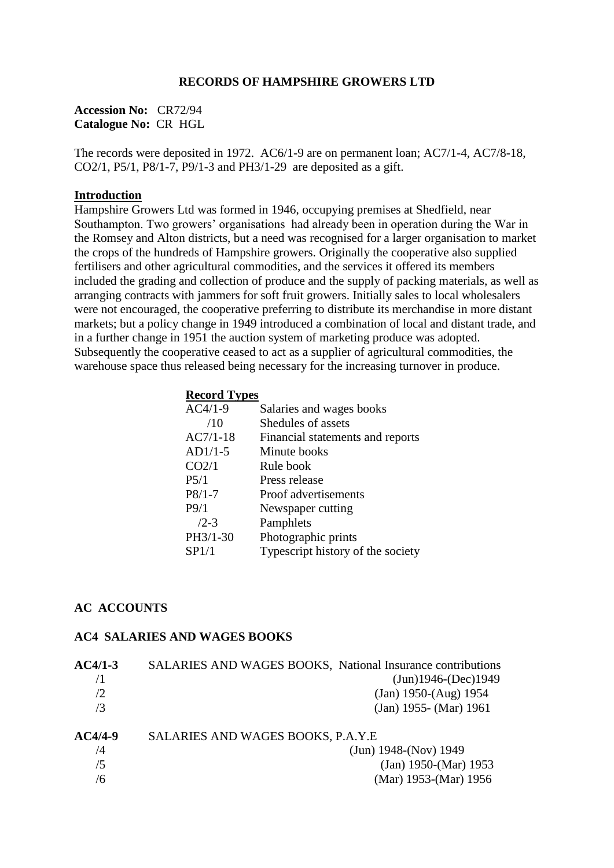#### **RECORDS OF HAMPSHIRE GROWERS LTD**

**Accession No:** CR72/94 **Catalogue No:** CR HGL

The records were deposited in 1972. AC6/1-9 are on permanent loan; AC7/1-4, AC7/8-18, CO2/1, P5/1, P8/1-7, P9/1-3 and PH3/1-29 are deposited as a gift.

#### **Introduction**

Hampshire Growers Ltd was formed in 1946, occupying premises at Shedfield, near Southampton. Two growers' organisations had already been in operation during the War in the Romsey and Alton districts, but a need was recognised for a larger organisation to market the crops of the hundreds of Hampshire growers. Originally the cooperative also supplied fertilisers and other agricultural commodities, and the services it offered its members included the grading and collection of produce and the supply of packing materials, as well as arranging contracts with jammers for soft fruit growers. Initially sales to local wholesalers were not encouraged, the cooperative preferring to distribute its merchandise in more distant markets; but a policy change in 1949 introduced a combination of local and distant trade, and in a further change in 1951 the auction system of marketing produce was adopted. Subsequently the cooperative ceased to act as a supplier of agricultural commodities, the warehouse space thus released being necessary for the increasing turnover in produce.

#### **Record Types**

| $AC4/1-9$         | Salaries and wages books          |
|-------------------|-----------------------------------|
| /10               | Shedules of assets                |
| $AC7/1-18$        | Financial statements and reports  |
| $AD1/1-5$         | Minute books                      |
| CO <sub>2/1</sub> | Rule book                         |
| P5/1              | Press release                     |
| $P8/1-7$          | Proof advertisements              |
| P9/1              | Newspaper cutting                 |
| $/2 - 3$          | Pamphlets                         |
| PH3/1-30          | Photographic prints               |
| SP1/1             | Typescript history of the society |
|                   |                                   |

### **AC ACCOUNTS**

#### **AC4 SALARIES AND WAGES BOOKS**

| $AC4/1-3$ | SALARIES AND WAGES BOOKS, National Insurance contributions |
|-----------|------------------------------------------------------------|
|           | $(Jun)1946-(Dec)1949$                                      |
| /2        | $(Jan)$ 1950- $(Aug)$ 1954                                 |
| /3        | $(Jan)$ 1955- $(Mar)$ 1961                                 |
| $AC4/4-9$ | SALARIES AND WAGES BOOKS, P.A.Y.E                          |
| /4        | $(Jun) 1948-(Nov) 1949$                                    |
| /5        | $(Jan)$ 1950- $(Mar)$ 1953                                 |
| /6        | (Mar) 1953-(Mar) 1956                                      |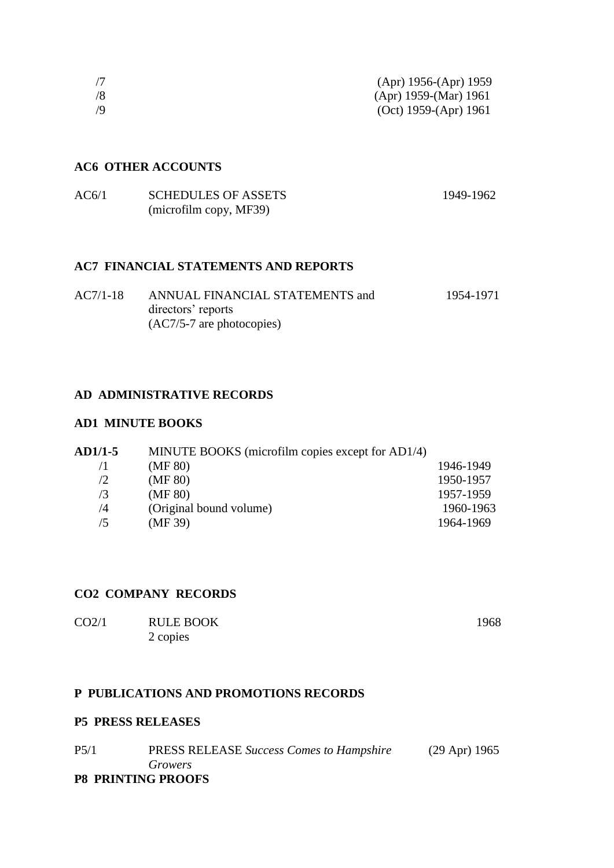|    | (Apr) $1956-(Apr)$ 1959 |
|----|-------------------------|
| /8 | $(Apr)$ 1959-(Mar) 1961 |
| /Q | (Oct) 1959-(Apr) 1961   |

## **AC6 OTHER ACCOUNTS**

| AC6/1 | <b>SCHEDULES OF ASSETS</b> | 1949-1962 |
|-------|----------------------------|-----------|
|       | (microfilm copy, MF39)     |           |

# **AC7 FINANCIAL STATEMENTS AND REPORTS**

| $AC7/1-18$ | ANNUAL FINANCIAL STATEMENTS and | 1954-1971 |
|------------|---------------------------------|-----------|
|            | directors' reports              |           |
|            | $(AC7/5-7)$ are photocopies)    |           |

## **AD ADMINISTRATIVE RECORDS**

### **AD1 MINUTE BOOKS**

| <b>AD1/1-5</b><br>MINUTE BOOKS (microfilm copies except for AD1/4) |           |  |
|--------------------------------------------------------------------|-----------|--|
| (MF 80)                                                            | 1946-1949 |  |
| (MF 80)                                                            | 1950-1957 |  |
| (MF 80)                                                            | 1957-1959 |  |
| (Original bound volume)                                            | 1960-1963 |  |
| (MF 39)                                                            | 1964-1969 |  |
|                                                                    |           |  |

## **CO2 COMPANY RECORDS**

| CO <sub>2/1</sub> | <b>RULE BOOK</b> | 1968 |
|-------------------|------------------|------|
|                   | 2 copies         |      |

## **P PUBLICATIONS AND PROMOTIONS RECORDS**

## **P5 PRESS RELEASES**

| P5/1                      | <b>PRESS RELEASE Success Comes to Hampshire</b> | $(29$ Apr) 1965 |
|---------------------------|-------------------------------------------------|-----------------|
|                           | Growers                                         |                 |
| <b>P8 PRINTING PROOFS</b> |                                                 |                 |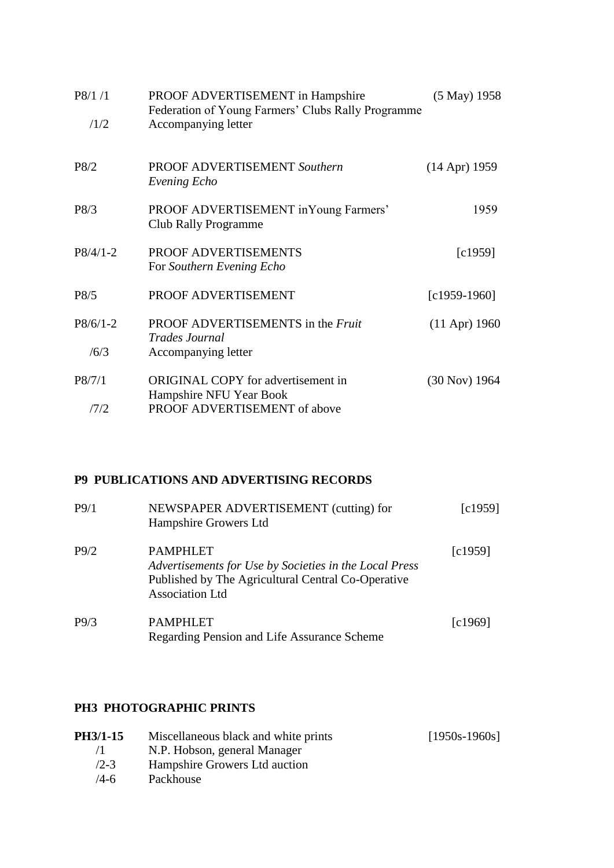| P8/1/1<br>/1/2     | PROOF ADVERTISEMENT in Hampshire<br>Federation of Young Farmers' Clubs Rally Programme<br>Accompanying letter | $(5$ May) 1958  |
|--------------------|---------------------------------------------------------------------------------------------------------------|-----------------|
| P8/2               | <b>PROOF ADVERTISEMENT Southern</b><br>Evening Echo                                                           | $(14$ Apr) 1959 |
| P8/3               | PROOF ADVERTISEMENT in Young Farmers'<br><b>Club Rally Programme</b>                                          | 1959            |
| $P8/4/1-2$         | PROOF ADVERTISEMENTS<br>For Southern Evening Echo                                                             | [c1959]         |
| P8/5               | PROOF ADVERTISEMENT                                                                                           | $[c1959-1960]$  |
| $P8/6/1-2$<br>/6/3 | PROOF ADVERTISEMENTS in the Fruit<br><b>Trades Journal</b><br>Accompanying letter                             | $(11$ Apr) 1960 |
| P8/7/1             | <b>ORIGINAL COPY</b> for advertisement in<br>Hampshire NFU Year Book                                          | (30 Nov) 1964   |
| 17/2               | PROOF ADVERTISEMENT of above                                                                                  |                 |

# **P9 PUBLICATIONS AND ADVERTISING RECORDS**

| P9/1 | NEWSPAPER ADVERTISEMENT (cutting) for<br>Hampshire Growers Ltd                                                                                            | $\lceil c1959\rceil$   |
|------|-----------------------------------------------------------------------------------------------------------------------------------------------------------|------------------------|
| P9/2 | <b>PAMPHLET</b><br>Advertisements for Use by Societies in the Local Press<br>Published by The Agricultural Central Co-Operative<br><b>Association Ltd</b> | $\lbrack c1959\rbrack$ |
| P9/3 | PAMPHLET<br>Regarding Pension and Life Assurance Scheme                                                                                                   | $\lceil c1969\rceil$   |

# **PH3 PHOTOGRAPHIC PRINTS**

| <b>PH3/1-15</b> | Miscellaneous black and white prints | $[1950s-1960s]$ |
|-----------------|--------------------------------------|-----------------|
| $\sqrt{1}$      | N.P. Hobson, general Manager         |                 |
| $/2 - 3$        | Hampshire Growers Ltd auction        |                 |
| $/4 - 6$        | Packhouse                            |                 |
|                 |                                      |                 |